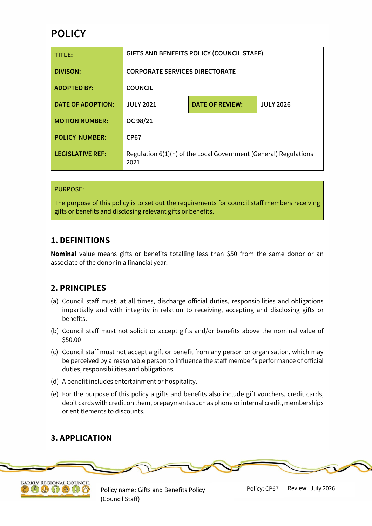# **POLICY**

| TITLE:                   | <b>GIFTS AND BENEFITS POLICY (COUNCIL STAFF)</b>                         |                        |                  |
|--------------------------|--------------------------------------------------------------------------|------------------------|------------------|
| <b>DIVISON:</b>          | <b>CORPORATE SERVICES DIRECTORATE</b>                                    |                        |                  |
| <b>ADOPTED BY:</b>       | <b>COUNCIL</b>                                                           |                        |                  |
| <b>DATE OF ADOPTION:</b> | <b>JULY 2021</b>                                                         | <b>DATE OF REVIEW:</b> | <b>JULY 2026</b> |
| <b>MOTION NUMBER:</b>    | OC 98/21                                                                 |                        |                  |
| <b>POLICY NUMBER:</b>    | <b>CP67</b>                                                              |                        |                  |
| <b>LEGISLATIVE REF:</b>  | Regulation 6(1)(h) of the Local Government (General) Regulations<br>2021 |                        |                  |

#### PURPOSE:

The purpose of this policy is to set out the requirements for council staff members receiving gifts or benefits and disclosing relevant gifts or benefits.

# **1. DEFINITIONS**

**Nominal** value means gifts or benefits totalling less than \$50 from the same donor or an associate of the donor in a financial year.

# **2. PRINCIPLES**

- (a) Council staff must, at all times, discharge official duties, responsibilities and obligations impartially and with integrity in relation to receiving, accepting and disclosing gifts or benefits.
- (b) Council staff must not solicit or accept gifts and/or benefits above the nominal value of \$50.00
- (c) Council staff must not accept a gift or benefit from any person or organisation, which may be perceived by a reasonable person to influence the staff member's performance of official duties, responsibilities and obligations.
- (d) A benefit includes entertainment or hospitality.
- (e) For the purpose of this policy a gifts and benefits also include gift vouchers, credit cards, debit cards with credit on them, prepayments such as phone or internal credit, memberships or entitlements to discounts.

## **3. APPLICATION**





Policy name: Gifts and Benefits Policy (Council Staff)

Policy: CP67 Review: July 2026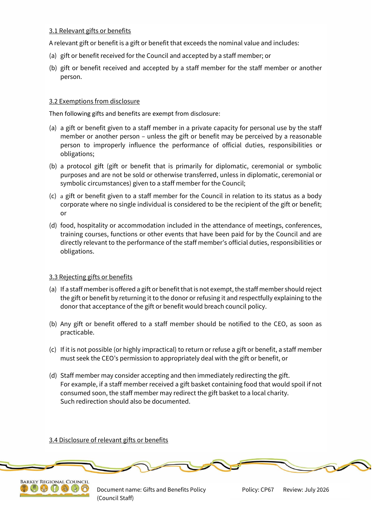### 3.1 Relevant gifts or benefits

A relevant gift or benefit is a gift or benefit that exceeds the nominal value and includes:

- (a) gift or benefit received for the Council and accepted by a staff member; or
- (b) gift or benefit received and accepted by a staff member for the staff member or another person.

#### 3.2 Exemptions from disclosure

Then following gifts and benefits are exempt from disclosure:

- (a) a gift or benefit given to a staff member in a private capacity for personal use by the staff member or another person – unless the gift or benefit may be perceived by a reasonable person to improperly influence the performance of official duties, responsibilities or obligations;
- (b) a protocol gift (gift or benefit that is primarily for diplomatic, ceremonial or symbolic purposes and are not be sold or otherwise transferred, unless in diplomatic, ceremonial or symbolic circumstances) given to a staff member for the Council;
- (c) a gift or benefit given to a staff member for the Council in relation to its status as a body corporate where no single individual is considered to be the recipient of the gift or benefit; or
- (d) food, hospitality or accommodation included in the attendance of meetings, conferences, training courses, functions or other events that have been paid for by the Council and are directly relevant to the performance of the staff member's official duties, responsibilities or obligations.

## 3.3 Rejecting gifts or benefits

- (a) If a staff member is offered a gift or benefit that is not exempt, the staff member should reject the gift or benefit by returning it to the donor or refusing it and respectfully explaining to the donor that acceptance of the gift or benefit would breach council policy.
- (b) Any gift or benefit offered to a staff member should be notified to the CEO, as soon as practicable.
- (c) If it is not possible (or highly impractical) to return or refuse a gift or benefit, a staff member must seek the CEO's permission to appropriately deal with the gift or benefit, or
- (d) Staff member may consider accepting and then immediately redirecting the gift. For example, if a staff member received a gift basket containing food that would spoil if not consumed soon, the staff member may redirect the gift basket to a local charity. Such redirection should also be documented.

#### 3.4 Disclosure of relevant gifts or benefits



Document name: Gifts and Benefits Policy (Council Staff)

Review: July 2026 Policy: CP67